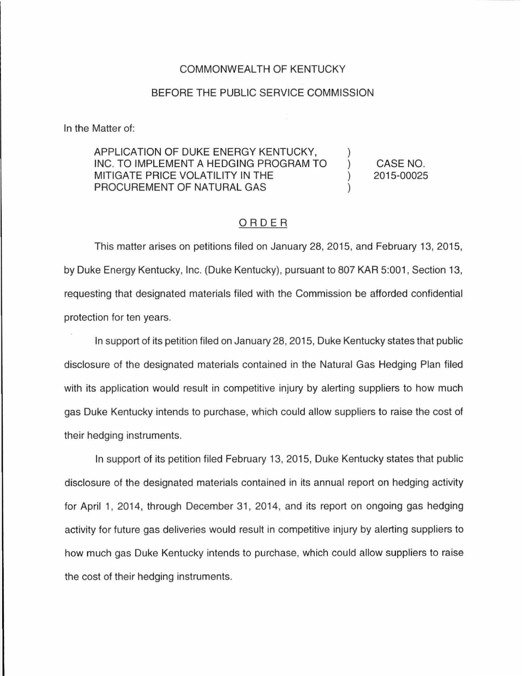## COMMONWEALTH OF KENTUCKY

## BEFORE THE PUBLIC SERVICE COMMISSION

In the Matter of:

## APPLICATION OF DUKE ENERGY KENTUCKY, INC. TO IMPLEMENT A HEDGING PROGRAM TO MITIGATE PRICE VOLATILITY IN THE PROCUREMENT OF NATURAL GAS

CASE NO. 2015-00025

## ORDER

This matter arises on petitions filed on January 28, 2015, and February 13, 2015, by Duke Energy Kentucky, Inc. (Duke Kentucky), pursuant to 807 KAR 5:001, Section 13, requesting that designated materials filed with the Commission be afforded confidential protection for ten years.

In support of its petition filed on January 28, 2015, Duke Kentucky states that public disclosure of the designated materials contained in the Natural Gas Hedging Plan filed with its application would result in competitive injury by alerting suppliers to how much gas Duke Kentucky intends to purchase, which could allow suppliers to raise the cost of their hedging instruments.

In support of its petition filed February 13, 2015, Duke Kentucky states that public disclosure of the designated materials contained in its annual report on hedging activity for April 1, 2014, through December 31, 2014, and its report on ongoing gas hedging activity for future gas deliveries would result in competitive injury by alerting suppliers to how much gas Duke Kentucky intends to purchase, which could allow suppliers to raise the cost of their hedging instruments.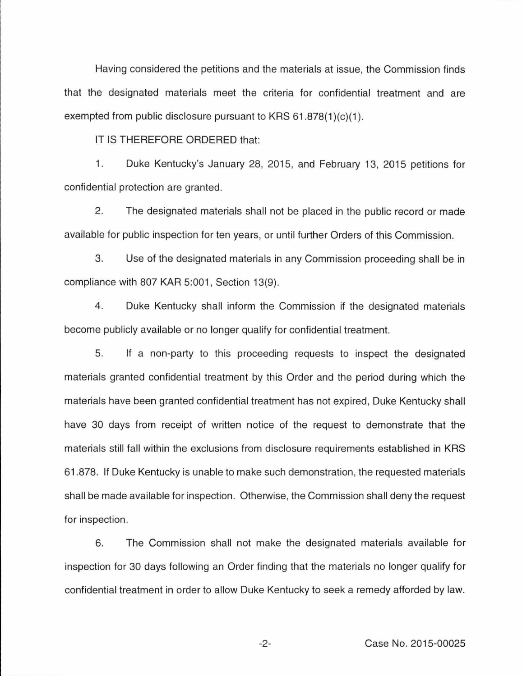Having considered the petitions and the materials at issue, the Commission finds that the designated materials meet the criteria for confidential treatment and are exempted from public disclosure pursuant to KRS  $61.878(1)(c)(1)$ .

IT IS THEREFORE ORDERED that:

1. Duke Kentucky's January 28, 2015, and February 13, 2015 petitions for confidential protection are granted.

2. The designated materials shall not be placed in the public record or made available for public inspection for ten years, or until further Orders of this Commission.

3. Use of the designated materials in any Commission proceeding shall be in compliance with 807 KAR 5:001, Section 13(9).

4. Duke Kentucky shall inform the Commission if the designated materials become publicly available or no longer qualify for confidential treatment.

5. If a non-party to this proceeding requests to inspect the designated materials granted confidential treatment by this Order and the period during which the materials have been granted confidential treatment has not expired, Duke Kentucky shall have 30 days from receipt of written notice of the request to demonstrate that the materials still fall within the exclusions from disclosure requirements established in KRS 61.878. If Duke Kentucky is unable to make such demonstration, the requested materials shall be made available for inspection. Otherwise, the Commission shall deny the request for inspection.

6. The Commission shall not make the designated materials available for inspection for 30 days following an Order finding that the materials no longer qualify for confidential treatment in order to allow Duke Kentucky to seek a remedy afforded by law.

-2- Case No. 2015-00025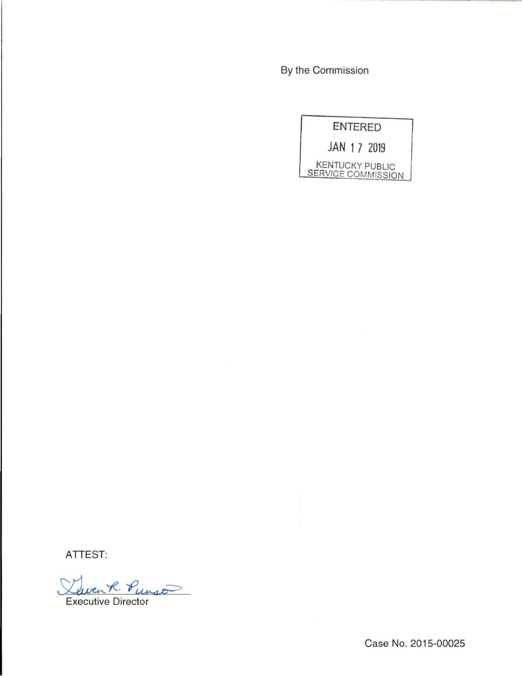By the Commission



**ATTEST:** 

 $venR.$  Punso Executive Director